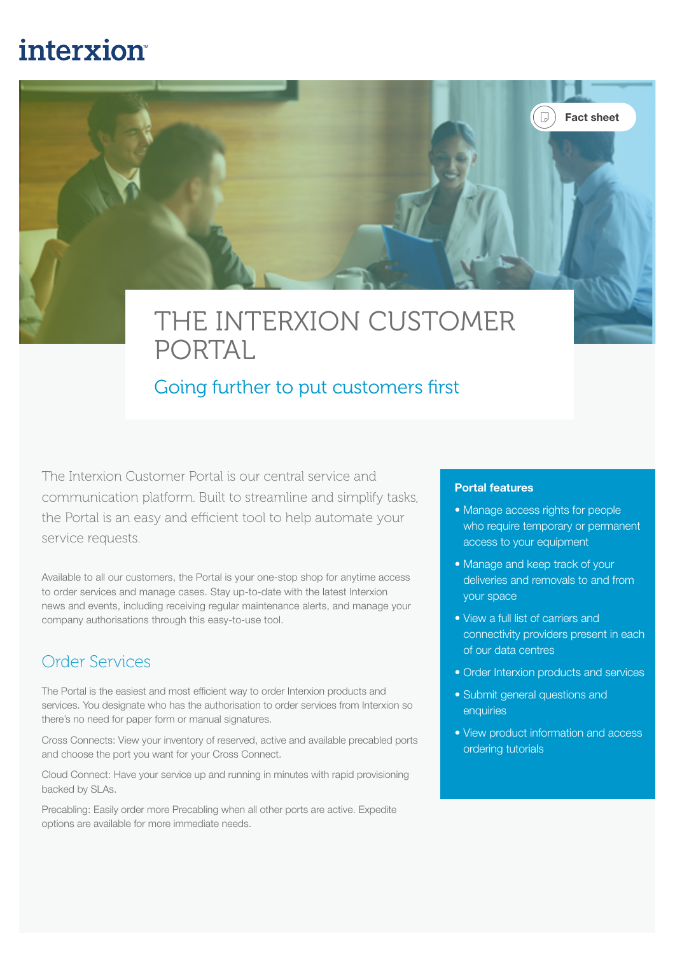# **interxion**



## Going further to put customers first

The Interxion Customer Portal is our central service and communication platform. Built to streamline and simplify tasks, the Portal is an easy and efficient tool to help automate your service requests.

Available to all our customers, the Portal is your one-stop shop for anytime access to order services and manage cases. Stay up-to-date with the latest Interxion news and events, including receiving regular maintenance alerts, and manage your company authorisations through this easy-to-use tool.

### Order Services

The Portal is the easiest and most efficient way to order Interxion products and services. You designate who has the authorisation to order services from Interxion so there's no need for paper form or manual signatures.

Cross Connects: View your inventory of reserved, active and available precabled ports and choose the port you want for your Cross Connect.

Cloud Connect: Have your service up and running in minutes with rapid provisioning backed by SLAs.

Precabling: Easily order more Precabling when all other ports are active. Expedite options are available for more immediate needs.

#### Portal features

• Manage access rights for people who require temporary or permanent access to your equipment

Fact sheet

 $\left( \begin{array}{c} \Box \end{array} \right)$ 

- Manage and keep track of your deliveries and removals to and from your space
- View a full list of carriers and connectivity providers present in each of our data centres
- Order Interxion products and services
- Submit general questions and enquiries
- View product information and access ordering tutorials